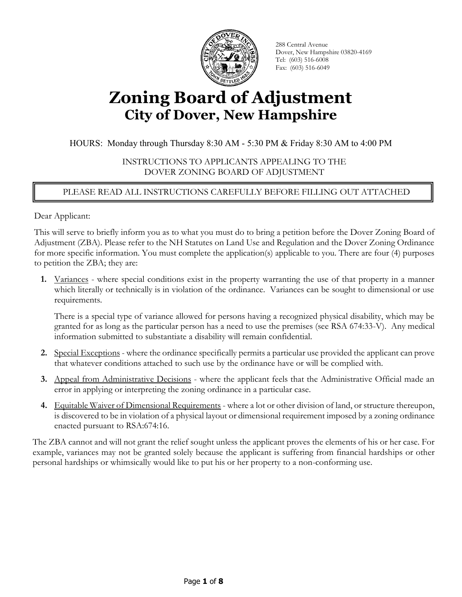

288 Central Avenue Dover, New Hampshire 03820-4169 Tel: (603) 516-6008 Fax: (603) 516-6049

# **Zoning Board of Adjustment City of Dover, New Hampshire**

HOURS: Monday through Thursday 8:30 AM - 5:30 PM & Friday 8:30 AM to 4:00 PM

INSTRUCTIONS TO APPLICANTS APPEALING TO THE DOVER ZONING BOARD OF ADJUSTMENT

### PLEASE READ ALL INSTRUCTIONS CAREFULLY BEFORE FILLING OUT ATTACHED APPLICATION

Dear Applicant:

This will serve to briefly inform you as to what you must do to bring a petition before the Dover Zoning Board of Adjustment (ZBA). Please refer to the NH Statutes on Land Use and Regulation and the Dover Zoning Ordinance for more specific information. You must complete the application(s) applicable to you. There are four (4) purposes to petition the ZBA; they are:

**1.** Variances - where special conditions exist in the property warranting the use of that property in a manner which literally or technically is in violation of the ordinance. Variances can be sought to dimensional or use requirements.

There is a special type of variance allowed for persons having a recognized physical disability, which may be granted for as long as the particular person has a need to use the premises (see RSA 674:33-V). Any medical information submitted to substantiate a disability will remain confidential.

- **2.** Special Exceptions where the ordinance specifically permits a particular use provided the applicant can prove that whatever conditions attached to such use by the ordinance have or will be complied with.
- **3.** Appeal from Administrative Decisions where the applicant feels that the Administrative Official made an error in applying or interpreting the zoning ordinance in a particular case.
- **4.** Equitable Waiver of Dimensional Requirements where a lot or other division of land, or structure thereupon, is discovered to be in violation of a physical layout or dimensional requirement imposed by a zoning ordinance enacted pursuant to RSA:674:16.

The ZBA cannot and will not grant the relief sought unless the applicant proves the elements of his or her case. For example, variances may not be granted solely because the applicant is suffering from financial hardships or other personal hardships or whimsically would like to put his or her property to a non-conforming use.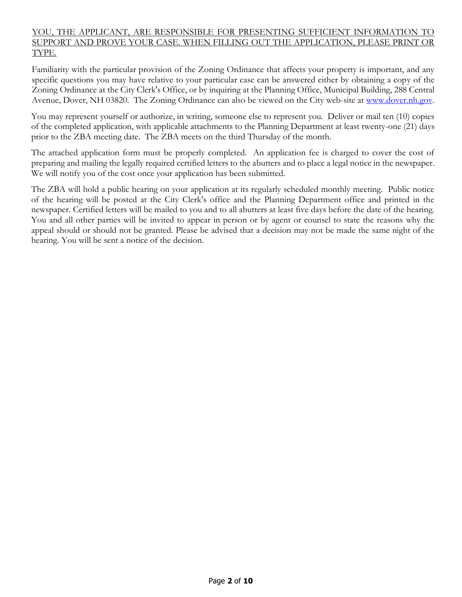### YOU, THE APPLICANT, ARE RESPONSIBLE FOR PRESENTING SUFFICIENT INFORMATION TO SUPPORT AND PROVE YOUR CASE. WHEN FILLING OUT THE APPLICATION, PLEASE PRINT OR TYPE.

Familiarity with the particular provision of the Zoning Ordinance that affects your property is important, and any specific questions you may have relative to your particular case can be answered either by obtaining a copy of the Zoning Ordinance at the City Clerk's Office, or by inquiring at the Planning Office, Municipal Building, 288 Central Avenue, Dover, NH 03820. The Zoning Ordinance can also be viewed on the City web-site at [www.dover.nh.gov.](http://www.dover.nh.gov/)

You may represent yourself or authorize, in writing, someone else to represent you. Deliver or mail ten (10) copies of the completed application, with applicable attachments to the Planning Department at least twenty-one (21) days prior to the ZBA meeting date. The ZBA meets on the third Thursday of the month.

The attached application form must be properly completed. An application fee is charged to cover the cost of preparing and mailing the legally required certified letters to the abutters and to place a legal notice in the newspaper. We will notify you of the cost once your application has been submitted.

The ZBA will hold a public hearing on your application at its regularly scheduled monthly meeting. Public notice of the hearing will be posted at the City Clerk's office and the Planning Department office and printed in the newspaper. Certified letters will be mailed to you and to all abutters at least five days before the date of the hearing. You and all other parties will be invited to appear in person or by agent or counsel to state the reasons why the appeal should or should not be granted. Please be advised that a decision may not be made the same night of the hearing. You will be sent a notice of the decision.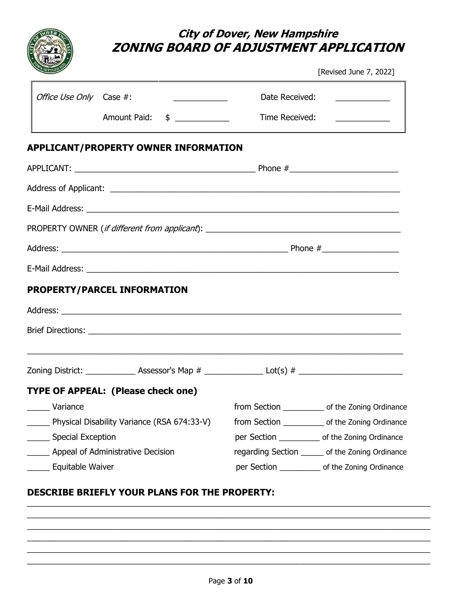|                           | ZONING BOARD OF ADJUSTMENT APPLICATION      | <b>City of Dover, New Hampshire</b> | [Revised June 7, 2022]                             |
|---------------------------|---------------------------------------------|-------------------------------------|----------------------------------------------------|
| Office Use Only Case #:   | <u> 1980 - Johann Barbara, martin a</u>     | Date Received:                      | <u> 1986 - Andrea State Barbara, poet</u>          |
|                           | Amount Paid: \$                             | Time Received:                      |                                                    |
|                           | <b>APPLICANT/PROPERTY OWNER INFORMATION</b> |                                     |                                                    |
|                           |                                             |                                     |                                                    |
|                           |                                             |                                     |                                                    |
|                           |                                             |                                     |                                                    |
|                           |                                             |                                     |                                                    |
|                           |                                             |                                     |                                                    |
|                           |                                             |                                     |                                                    |
|                           | PROPERTY/PARCEL INFORMATION                 |                                     |                                                    |
|                           |                                             |                                     |                                                    |
|                           |                                             |                                     |                                                    |
|                           |                                             |                                     |                                                    |
|                           |                                             |                                     |                                                    |
|                           | TYPE OF APPEAL: (Please check one)          |                                     |                                                    |
| Variance                  |                                             |                                     | from Section _____________ of the Zoning Ordinance |
|                           | Physical Disability Variance (RSA 674:33-V) |                                     | from Section _____________ of the Zoning Ordinance |
| Special Exception         |                                             |                                     | per Section _____________ of the Zoning Ordinance  |
|                           | Appeal of Administrative Decision           |                                     | regarding Section ______ of the Zoning Ordinance   |
| ________ Equitable Waiver |                                             |                                     | per Section ______________ of the Zoning Ordinance |

## **DESCRIBE BRIEFLY YOUR PLANS FOR THE PROPERTY:**

 $\_$  , and the set of the set of the set of the set of the set of the set of the set of the set of the set of the set of the set of the set of the set of the set of the set of the set of the set of the set of the set of th  $\_$  , and the set of the set of the set of the set of the set of the set of the set of the set of the set of the set of the set of the set of the set of the set of the set of the set of the set of the set of the set of th  $\_$  , and the set of the set of the set of the set of the set of the set of the set of the set of the set of the set of the set of the set of the set of the set of the set of the set of the set of the set of the set of th  $\_$  , and the set of the set of the set of the set of the set of the set of the set of the set of the set of the set of the set of the set of the set of the set of the set of the set of the set of the set of the set of th  $\_$  , and the set of the set of the set of the set of the set of the set of the set of the set of the set of the set of the set of the set of the set of the set of the set of the set of the set of the set of the set of th  $\_$  , and the set of the set of the set of the set of the set of the set of the set of the set of the set of the set of the set of the set of the set of the set of the set of the set of the set of the set of the set of th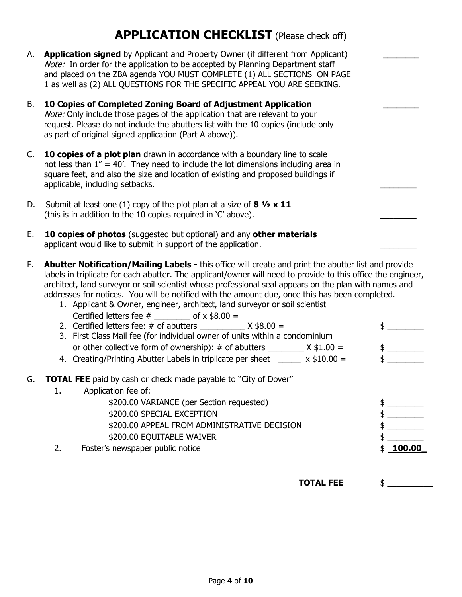## **APPLICATION CHECKLIST** (Please check off)

- A. **Application signed** by Applicant and Property Owner (if different from Applicant) Note: In order for the application to be accepted by Planning Department staff and placed on the ZBA agenda YOU MUST COMPLETE (1) ALL SECTIONS ON PAGE 1 as well as (2) ALL QUESTIONS FOR THE SPECIFIC APPEAL YOU ARE SEEKING.
- B. **10 Copies of Completed Zoning Board of Adjustment Application** \_\_\_\_\_\_\_\_ Note: Only include those pages of the application that are relevant to your request. Please do not include the abutters list with the 10 copies (include only as part of original signed application (Part A above)).
- C. **10 copies of a plot plan** drawn in accordance with a boundary line to scale not less than 1" = 40'.They need to include the lot dimensions including area in square feet, and also the size and location of existing and proposed buildings if applicable, including setbacks.
- D. Submit at least one (1) copy of the plot plan at a size of **8 ½ x 11** (this is in addition to the 10 copies required in  $C'$  above).
- E. **10 copies of photos** (suggested but optional) and any **other materials**  applicant would like to submit in support of the application.
- F. **Abutter Notification/Mailing Labels -** this office will create and print the abutter list and provide labels in triplicate for each abutter. The applicant/owner will need to provide to this office the engineer, architect, land surveyor or soil scientist whose professional seal appears on the plan with names and addresses for notices. You will be notified with the amount due, once this has been completed.
	- 1. Applicant & Owner, engineer, architect, land surveyor or soil scientist Certified letters fee  $\#$  of x \$8.00 =

| 2. Certified letters fee: $\#$ of abutters $X$ \$8.00 =                                                                |  |
|------------------------------------------------------------------------------------------------------------------------|--|
| 3. First Class Mail fee (for individual owner of units within a condominium                                            |  |
| or other collective form of ownership): # of abutters $X $1.00 =$                                                      |  |
| 4. Creating/Printing Abutter Labels in triplicate per sheet $\_\_\_\_$ x \$10.00 =                                     |  |
| G. <b>TOTAL FEE</b> paid by cash or check made payable to "City of Dover"<br>$\sim$ $\sim$ $\sim$ $\sim$ $\sim$ $\sim$ |  |

1. Application fee of: \$200.00 VARIANCE (per Section requested) \$ \_\_\_\_\_\_\_\_ \$200.00 SPECIAL EXCEPTION \$ \_\_\_\_\_\_\_\_ \$200.00 APPEAL FROM ADMINISTRATIVE DECISION \$ \_\_\_\_\_\_\_\_ \$200.00 EQUITABLE WAIVER \$ 2. Foster's newspaper public notice **by the set of the set of the set of the set of the set of the set of the set of the set of the set of the set of the set of the set of the set of the set of the set of the set of the se** 

**TOTAL FEE** \$ \_\_\_\_\_\_\_\_\_\_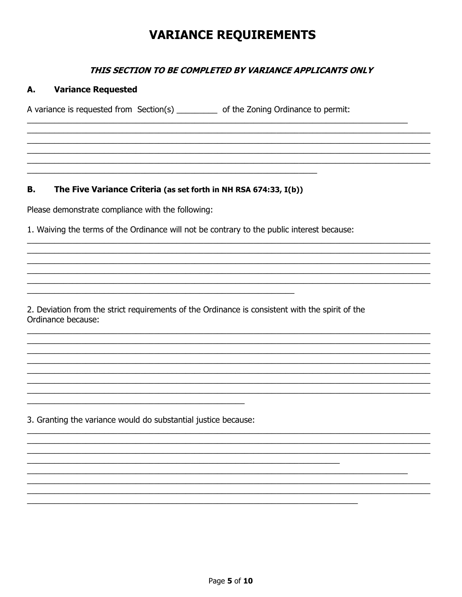## **VARIANCE REQUIREMENTS**

### THIS SECTION TO BE COMPLETED BY VARIANCE APPLICANTS ONLY

#### **Variance Requested** А.

A variance is requested from Section(s) \_\_\_\_\_\_\_\_\_ of the Zoning Ordinance to permit:

The Five Variance Criteria (as set forth in NH RSA 674:33, I(b)) В.

Please demonstrate compliance with the following:

1. Waiving the terms of the Ordinance will not be contrary to the public interest because:

2. Deviation from the strict requirements of the Ordinance is consistent with the spirit of the Ordinance because:

3. Granting the variance would do substantial justice because: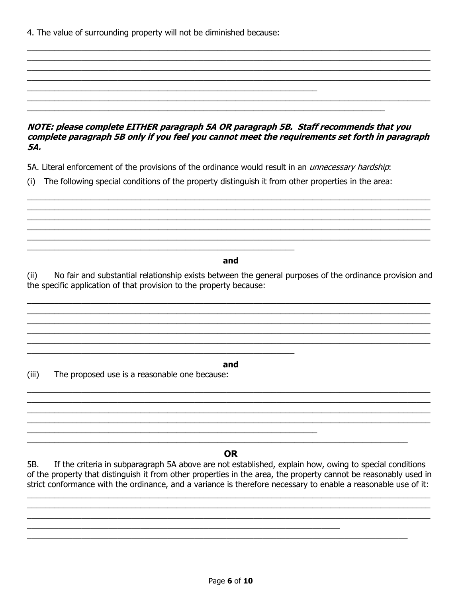4. The value of surrounding property will not be diminished because:

### NOTE: please complete EITHER paragraph 5A OR paragraph 5B. Staff recommends that you complete paragraph 5B only if you feel you cannot meet the requirements set forth in paragraph 5A.

5A. Literal enforcement of the provisions of the ordinance would result in an *unnecessary hardship*:

(i) The following special conditions of the property distinguish it from other properties in the area:

and

No fair and substantial relationship exists between the general purposes of the ordinance provision and  $(ii)$ the specific application of that provision to the property because:

and

 $(iii)$ The proposed use is a reasonable one because:

### **OR**

If the criteria in subparagraph 5A above are not established, explain how, owing to special conditions 5B. of the property that distinguish it from other properties in the area, the property cannot be reasonably used in strict conformance with the ordinance, and a variance is therefore necessary to enable a reasonable use of it: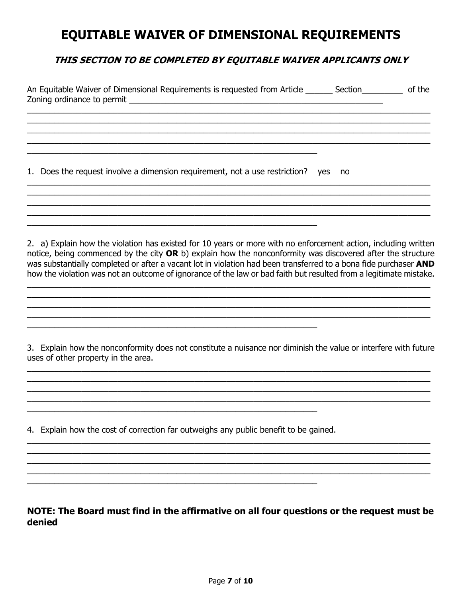## **EQUITABLE WAIVER OF DIMENSIONAL REQUIREMENTS**

## THIS SECTION TO BE COMPLETED BY EQUITABLE WAIVER APPLICANTS ONLY

| An Equitable Waiver of Dimensional Requirements is requested from Article _______ Section__________                                                                                                                                                                                                                                                                                                                                                                   |    | of the |
|-----------------------------------------------------------------------------------------------------------------------------------------------------------------------------------------------------------------------------------------------------------------------------------------------------------------------------------------------------------------------------------------------------------------------------------------------------------------------|----|--------|
|                                                                                                                                                                                                                                                                                                                                                                                                                                                                       |    |        |
| 1. Does the request involve a dimension requirement, not a use restriction? yes                                                                                                                                                                                                                                                                                                                                                                                       | no |        |
|                                                                                                                                                                                                                                                                                                                                                                                                                                                                       |    |        |
| 2. a) Explain how the violation has existed for 10 years or more with no enforcement action, including written<br>notice, being commenced by the city OR b) explain how the nonconformity was discovered after the structure<br>was substantially completed or after a vacant lot in violation had been transferred to a bona fide purchaser AND<br>how the violation was not an outcome of ignorance of the law or bad faith but resulted from a legitimate mistake. |    |        |

3. Explain how the nonconformity does not constitute a nuisance nor diminish the value or interfere with future uses of other property in the area.

4. Explain how the cost of correction far outweighs any public benefit to be gained.

<u> 2008 - Johann Stein, mars an deutscher Stein und der Stein und der Stein und der Stein und der Stein und der</u>

NOTE: The Board must find in the affirmative on all four questions or the request must be denied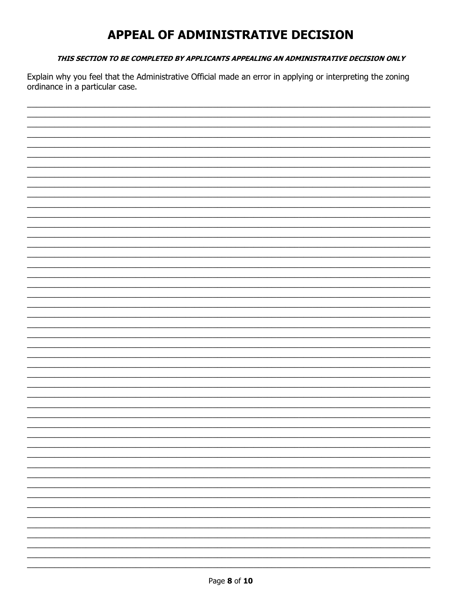## APPEAL OF ADMINISTRATIVE DECISION

#### THIS SECTION TO BE COMPLETED BY APPLICANTS APPEALING AN ADMINISTRATIVE DECISION ONLY

Explain why you feel that the Administrative Official made an error in applying or interpreting the zoning ordinance in a particular case.

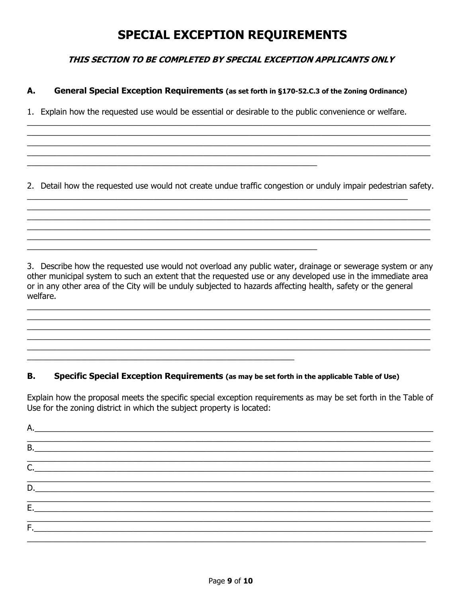## **SPECIAL EXCEPTION REQUIREMENTS**

## THIS SECTION TO BE COMPLETED BY SPECIAL EXCEPTION APPLICANTS ONLY

#### А. General Special Exception Requirements (as set forth in §170-52.C.3 of the Zoning Ordinance)

1. Explain how the requested use would be essential or desirable to the public convenience or welfare.

2. Detail how the requested use would not create undue traffic congestion or unduly impair pedestrian safety.

3. Describe how the requested use would not overload any public water, drainage or sewerage system or any other municipal system to such an extent that the requested use or any developed use in the immediate area or in any other area of the City will be unduly subjected to hazards affecting health, safety or the general welfare.

#### В. Specific Special Exception Requirements (as may be set forth in the applicable Table of Use)

Explain how the proposal meets the specific special exception requirements as may be set forth in the Table of Use for the zoning district in which the subject property is located:

| B. |  |
|----|--|
| C. |  |
|    |  |
|    |  |
| Е. |  |
| F. |  |